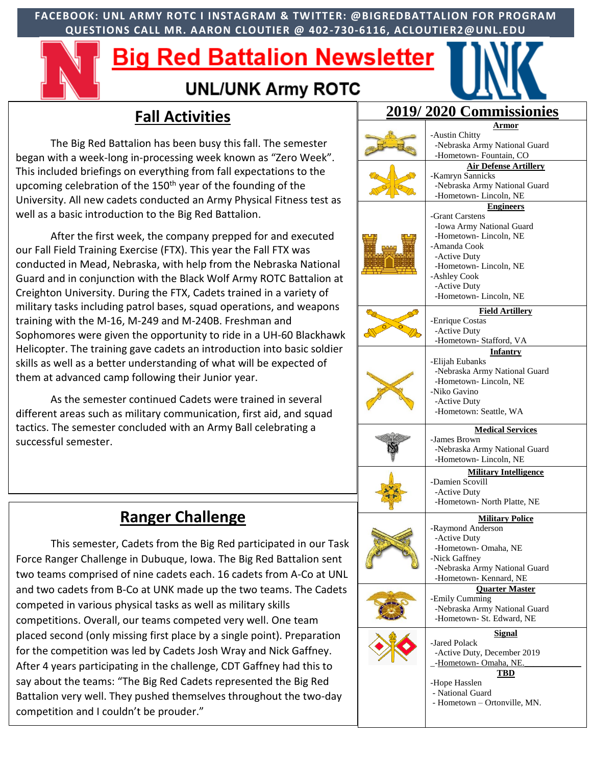**FACEBOOK: UNL ARMY ROTC I INSTAGRAM & TWITTER: @BIGREDBATTALION FOR PROGRAM QUESTIONS CALL MR. AARON CLOUTIER @ 402-730-6116, ACLOUTIER2@UNL.EDU**

# Big Red Battalion Newsletter



### **UNL/UNK Army ROTC**

# **Fall Activities**

The Big Red Battalion has been busy this fall. The semester began with a week-long in-processing week known as "Zero Week". This included briefings on everything from fall expectations to the upcoming celebration of the 150<sup>th</sup> year of the founding of the University. All new cadets conducted an Army Physical Fitness test as well as a basic introduction to the Big Red Battalion.

After the first week, the company prepped for and executed our Fall Field Training Exercise (FTX). This year the Fall FTX was conducted in Mead, Nebraska, with help from the Nebraska National Guard and in conjunction with the Black Wolf Army ROTC Battalion at Creighton University. During the FTX, Cadets trained in a variety of military tasks including patrol bases, squad operations, and weapons training with the M-16, M-249 and M-240B. Freshman and Sophomores were given the opportunity to ride in a UH-60 Blackhawk Helicopter. The training gave cadets an introduction into basic soldier skills as well as a better understanding of what will be expected of them at advanced camp following their Junior year.

As the semester continued Cadets were trained in several different areas such as military communication, first aid, and squad tactics. The semester concluded with an Army Ball celebrating a successful semester.

## **Ranger Challenge**

This semester, Cadets from the Big Red participated in our Task Force Ranger Challenge in Dubuque, Iowa. The Big Red Battalion sent two teams comprised of nine cadets each. 16 cadets from A-Co at UNL and two cadets from B-Co at UNK made up the two teams. The Cadets competed in various physical tasks as well as military skills competitions. Overall, our teams competed very well. One team placed second (only missing first place by a single point). Preparation for the competition was led by Cadets Josh Wray and Nick Gaffney. After 4 years participating in the challenge, CDT Gaffney had this to say about the teams: "The Big Red Cadets represented the Big Red Battalion very well. They pushed themselves throughout the two-day competition and I couldn't be prouder."

| 2019/2020 Commissionies |                                                            |
|-------------------------|------------------------------------------------------------|
|                         | <u>Armor</u>                                               |
|                         | -Austin Chitty                                             |
|                         | -Nebraska Army National Guard<br>-Hometown- Fountain, CO   |
|                         | <b>Air Defense Artillery</b>                               |
|                         | -Kamryn Sannicks                                           |
|                         | -Nebraska Army National Guard                              |
|                         | -Hometown-Lincoln, NE                                      |
|                         | <b>Engineers</b>                                           |
|                         | -Grant Carstens<br>-Iowa Army National Guard               |
|                         | -Hometown-Lincoln, NE                                      |
|                         | -Amanda Cook                                               |
|                         | -Active Duty                                               |
|                         | -Hometown-Lincoln, NE                                      |
|                         | -Ashley Cook                                               |
|                         | -Active Duty                                               |
|                         | -Hometown-Lincoln, NE                                      |
|                         | <b>Field Artillery</b>                                     |
|                         | -Enrique Costas                                            |
|                         | -Active Duty<br>-Hometown- Stafford, VA                    |
|                         | <b>Infantry</b>                                            |
|                         | -Elijah Eubanks                                            |
|                         | -Nebraska Army National Guard                              |
|                         | -Hometown- Lincoln, NE                                     |
|                         | -Niko Gavino                                               |
|                         | -Active Duty                                               |
|                         | -Hometown: Seattle, WA                                     |
|                         | <b>Medical Services</b><br>-James Brown                    |
|                         | -Nebraska Army National Guard                              |
|                         | -Hometown-Lincoln, NE                                      |
|                         | <b>Military Intelligence</b>                               |
|                         | -Damien Scovill                                            |
|                         | -Active Duty                                               |
|                         | -Hometown- North Platte, NE                                |
|                         | <b>Military Police</b>                                     |
|                         | -Raymond Anderson                                          |
|                         | -Active Duty<br>-Hometown- Omaha, NE                       |
|                         | -Nick Gaffney                                              |
|                         | -Nebraska Army National Guard                              |
|                         | -Hometown- Kennard, NE                                     |
|                         | <b>Quarter Master</b>                                      |
|                         | -Emily Cumming                                             |
|                         | -Nebraska Army National Guard<br>-Hometown- St. Edward, NE |
|                         |                                                            |
|                         | <b>Signal</b><br>-Jared Polack                             |
|                         |                                                            |
|                         |                                                            |
|                         | -Active Duty, December 2019<br>-Hometown- Omaha, NE.       |
|                         | TBD                                                        |
|                         | -Hope Hasslen                                              |
|                         | - National Guard                                           |
|                         | - Hometown - Ortonville, MN.                               |